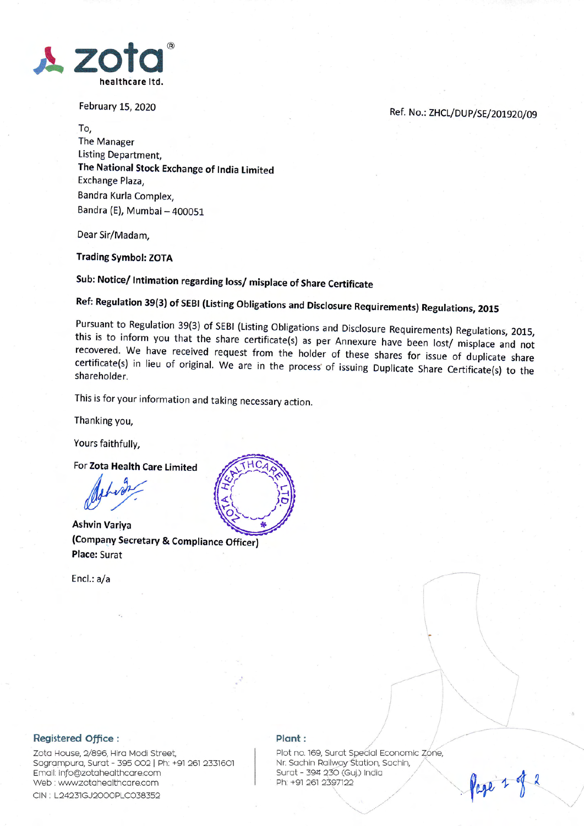

February 15, 2020

Ref. No.: ZHCL/DUP/SE/201920/09

To, The Manager Listing Department, The National Stock Exchange of tndia limited Exchange Plaza, Bandra Kurla Complex, Bandra (E), Mumbai - 400051

Dear Sir/Madam,

Trading Symbol: ZOTA

Sub: Notice/ Intimation regarding loss/ misplace of Share Certificate

Ref: Regulation 39(3) of sEBl (Listing obligations and Disclosure Requirements) Regulations, <sup>2015</sup>

Pursuant to Regulation 39(3) of SEBI (Listing Obligations and Disclosure Requirements) Regulations, 2015, this is to inform you that the share certificate(s) as per Annexure have been lost/ misplace and not recovered. We h

This is for your information and taking necessary action.

Thanking you,

Yours faithfully,

For Zota Health Care limited

Ashvin Variya (Company Secretary & Compliance Officer) Place: Surat

Encl.: a/a



## Registered Office :

Zota House, 2/896, Hira Modi Street, Sagrampura, Surat - 395 002 | Ph: +91 261 2331601 Email: info@zotahealthcare.com Web : www.zotahealthcare.com CIN : L24231GJ2000PLC038352

## $Plant:$

Plot no. 169, Surat Special Economic Zone, Nr. Sachin Railway Station, Sachin, Surat - 394 230 (Guj.) India Ph: +91 261 2397122 "  $\sqrt{10}$ 

 $\overline{\phantom{a}}$ 

 $\mathbf{t} = \mathbf{0}$